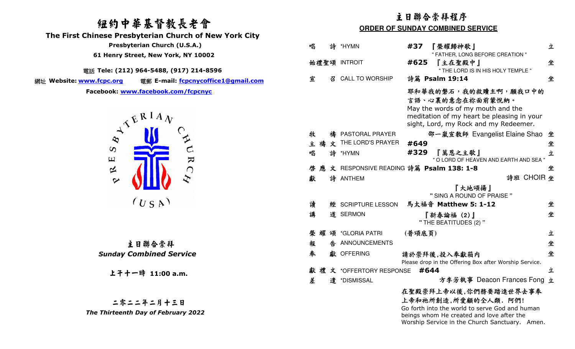# 紐約中華基督教長老會

 **The First Chinese Presbyterian Church of New York City** 

 **Presbyterian Church (U.S.A.)** 

 **61 Henry Street, New York, NY 10002**

電話 **Tele: (212) 964-5488, (917) 214-8596** 

網址 Website: www.fcpc.org

 **Website: www.fcpc.org** 電郵 **E-mail: fcpcnycoffice1@gmail.comFacebook: www.facebook.com/fcpcnyc**



|  | 主日聯合崇拜 |                                |
|--|--------|--------------------------------|
|  |        | <b>Sunday Combined Service</b> |

上午十一時 **11:00 a.m.**

二零二二年二月十三日 *The Thirteenth Day of February 2022* 

## 主日聯合崇拜程序

#### **ORDER OF SUNDAY COMBINED SERVICE**

| 唱 |   |    | 詩 *HYMN                 | 榮耀歸神歌  <br>#37                                                                                                                                                       | 立 |
|---|---|----|-------------------------|----------------------------------------------------------------------------------------------------------------------------------------------------------------------|---|
|   |   |    | 始禮聖頌 INTROIT            | " FATHER, LONG BEFORE CREATION "<br>#625<br>『主在聖殿中』<br>" THE LORD IS IN HIS HOLY TEMPLE "                                                                            | 坐 |
| 宣 |   | 낑. | <b>CALL TO WORSHIP</b>  | 詩篇 Psalm 19:14                                                                                                                                                       | 坐 |
|   |   |    |                         | 耶和華我的磐石,我的救贖主啊,願我口中的<br>言語、心裏的意念在祢面前蒙悅納。<br>May the words of my mouth and the<br>meditation of my heart be pleasing in your<br>sight, Lord, my Rock and my Redeemer. |   |
| 牧 |   |    | 禱 PASTORAL PRAYER       | 邵一嵐宣教師 Evangelist Elaine Shao                                                                                                                                        | 坐 |
|   |   |    | 主 禱 文 THE LORD'S PRAYER | #649                                                                                                                                                                 | 坐 |
| 唱 |   |    | 詩 *HYMN                 | #329<br>『萬恩之主歌』<br>" O LORD OF HEAVEN AND EARTH AND SEA "                                                                                                            | 立 |
| 啓 | 應 |    |                         | 文 RESPONSIVE READING 詩篇 Psalm 138: 1-8                                                                                                                               | 坐 |
| 獻 |   |    | 詩 ANTHEM                | 詩班 CHOIR 坐                                                                                                                                                           |   |
|   |   |    |                         | 『大地頌揚』<br>" SING A ROUND OF PRAISE "                                                                                                                                 |   |
| 讀 |   |    | 經 SCRIPTURE LESSON      | 馬太福音 Matthew 5: 1-12                                                                                                                                                 | 坐 |
| 講 |   |    | 道 SERMON                | 『新春論福(2)』<br>" THE BEATITUDES (2) "                                                                                                                                  | 坐 |
| 榮 |   |    | 耀 頌 *GLORIA PATRI       | (普頌底頁)                                                                                                                                                               | 立 |
| 報 |   |    | 告 ANNOUNCEMENTS         |                                                                                                                                                                      | 坐 |
| 奉 |   |    | 獻 OFFERING              | 請於崇拜後,投入奉獻箱内<br>Please drop in the Offering Box after Worship Service.                                                                                               | 坐 |
| 獻 | 禮 |    | 文 *OFFERTORY RESPONSE   | #644                                                                                                                                                                 | 立 |
| 差 |   |    | 遣 *DISMISSAL            | 方李芳執事 Deacon Frances Fong                                                                                                                                            | 立 |
|   |   |    |                         | 在聖殿崇拜上帝以後,你們務要踏進世界去事奉<br>上帝和祂所創造,所愛顧的全人類. 阿們!<br>Go forth into the world to serve God and human<br>beings whom He created and love after the                         |   |

Worship Service in the Church Sanctuary. Amen.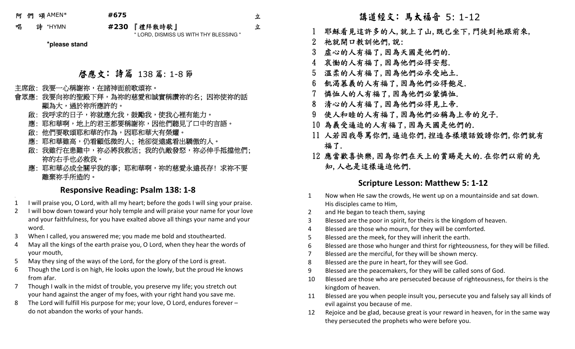阿 們 頌AMEN\* **#675** 

;

立 立

唱 詩 \*HYMN **#230** 『禮拜散時歌』<br>"LOPP PIONICO

" LORD, DISMISS US WITH THY BLESSING "

**\*please stand**

### 啟應文: 詩篇 138篇: 1-8節

#### 主席啟:我要一心稱謝祢,在諸神面前歌頌祢。

- 會眾應: 我要向祢的聖殿下拜,為祢的慈愛和誠實稱讚祢的名; 因祢使祢的話 顯為大,過於祢所應許的。
	- 啟: 我呼求的日子,祢就應允我,鼓勵我,使我心裡有能力。
	- 應:耶和華啊,地上的君王都要稱謝祢,因他們聽見了口中的言語。
	- 啟: 他們要歌頌耶和華的作為,因耶和華大有榮耀。」
	- 應: 耶和華雖高,仍看顧低微的人; 祂卻從遠處看出驕傲的人。
- 一 啟: 我雖行在患難中,祢必將我救活; 我的仇敵發怒,祢必伸手抵擋他們; 祢的右手也必救我。
- 應: 耶和華必成全關乎我的事; 耶和華啊,祢的慈愛永遠長存! 求祢不要 離棄祢手所造的。

## **Responsive Reading: Psalm 138: 1-8**

- 1I will praise you, O Lord, with all my heart; before the gods I will sing your praise.
- 2 I will bow down toward your holy temple and will praise your name for your love and your faithfulness, for you have exalted above all things your name and your word. 講道經文: 馬太福音 5: 1-12
- 3When I called, you answered me; you made me bold and stouthearted.
- 4 May all the kings of the earth praise you, O Lord, when they hear the words of your mouth,
- 5May they sing of the ways of the Lord, for the glory of the Lord is great.
- 6 Though the Lord is on high, He looks upon the lowly, but the proud He knows from afar.
- 7 Though I walk in the midst of trouble, you preserve my life; you stretch out your hand against the anger of my foes, with your right hand you save me.
- 8 The Lord will fulfill His purpose for me; your love, O Lord, endures forever – do not abandon the works of your hands.

- 1 耶穌看見這許多的人,就上了山,既已坐下,門徒到祂跟前來,
- 2 祂就開口教訓他們,說:
- 3 虛心的人有福了,因為天國是他們的.
- 4 哀慟的人有福了,因為他們必得安慰.
- 5 溫柔的人有福了,因為他們必承受地土.
- 6 飢渴慕義的人有福了,因為他們必得飽足.
- 7 憐恤人的人有福了,因為他們必蒙憐恤.
- 8 清心的人有福了,因為他們必得見上帝.
- 9 使人和睦的人有福了,因為他們必稱為上帝的兒子.
- 10 為義受逼迫的人有福了,因為天國是他們的.
- 11 人若因我辱罵你們,逼迫你們,揑造各樣壞話毀謗你們,你們就有 福了.
- 12 應當歡喜快樂,因為你們在天上的賞賜是大的.在你們以前的先 知,人也是這樣逼迫他們.

#### **Scripture Lesson: Matthew 5: 1-12**

- 1 Now when He saw the crowds, He went up on a mountainside and sat down. His disciples came to Him,
- 2 and He began to teach them, saying
- 3 Blessed are the poor in spirit, for theirs is the kingdom of heaven.
- 4 Blessed are those who mourn, for they will be comforted.
- 5 Blessed are the meek, for they will inherit the earth.
- 6 Blessed are those who hunger and thirst for righteousness, for they will be filled.
- 7 Blessed are the merciful, for they will be shown mercy.
- 8 Blessed are the pure in heart, for they will see God.
- 9 Blessed are the peacemakers, for they will be called sons of God.
- 10 Blessed are those who are persecuted because of righteousness, for theirs is the kingdom of heaven.
- 11 Blessed are you when people insult you, persecute you and falsely say all kinds of evil against you because of me.
- 12 Rejoice and be glad, because great is your reward in heaven, for in the same way they persecuted the prophets who were before you.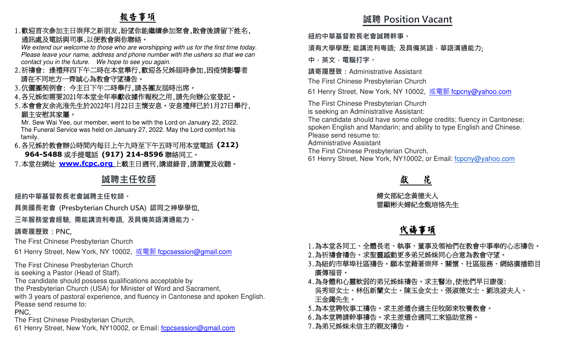# 報告事項

1.歡迎首次參加主日崇拜之新朋友,盼望你能繼續參加聚會,散會後請留下姓名, 通訊處及電話與司事,以便教會與你聯絡。

 We extend our welcome to those who are worshipping with us for the first time today. Please leave your name, address and phone number with the ushers so that we can contact you in the future. We hope to see you again.

- 2.祈禱會: 逢禮拜四下午二時在本堂舉行,歡迎各兄姊屆時參加,因疫情影響者請在不同地方一齊誠心為教會守望禱告。
- 3.伉儷團契例會: 今主日下午二時舉行,請各團友屆時出席。
- 4.各兄姊如需要2021年本堂全年奉獻收據作報稅之用,請先向辦公室登記。
- 5.本會會友余兆淮先生於2022年1月22日主懷安息。安息禮拜已於1月27日舉行, 願主安慰其家屬。

 Mr. Sew Wai Yee, our member, went to be with the Lord on January 22, 2022. The Funeral Service was held on January 27, 2022. May the Lord comfort his family.

- 6.各兄姊於教會辦公時間內每日上午九時至下午五時可用本堂電話 **(212) 964-5488**或手提電話 **(917) 214-8596**聯絡同工。
- 7.本堂在網址 **www.fcpc.org** 上載主日週刊,講道錄音,請瀏覽及收聽。

## **誠聘主任牧師**

**紐約中華基督教⻑老會誠聘主任牧師。** 

**具美國⻑老會 (Presbyterian Church USA) 認同之神學學位,** 

**三年服務堂會經驗, 需能講流利粵語, 及具備英語溝通能力。** 

#### **請寄履歷致:PNC,**

The First Chinese Presbyterian Church

61 Henry Street, New York, NY 10002, <u>或電郵 f<mark>cpcsession@gmail.com</mark></u>

The First Chinese Presbyterian Church

is seeking a Pastor (Head of Staff).

The candidate should possess qualifications acceptable by

the Presbyterian Church (USA) for Minister of Word and Sacrament,

 with 3 years of pastoral experience, and fluency in Cantonese and spoken English.Please send resume to:

PNC,

The First Chinese Presbyterian Church,

61 Henry Street, New York, NY10002, or Email: f**cpcsession@gmail.com** 

# **誠聘 Position Vacant**

**紐約中華基督教⻑老會誠聘幹事。** 

## **須有大學學歷; 能講流利粵語; 及具備英語,華語溝通能力**;

**中,英文,電腦打字。 請寄履歷致:**Administrative Assistant

The First Chinese Presbyterian Church

61 Henry Street, New York, NY 10002, <u>或電郵 f<mark>cpcny@yahoo.com</mark></u>

The First Chinese Presbyterian Church

is seeking an Administrative Assistant:

 The candidate should have some college credits; fluency in Cantonese; spoken English and Mandarin; and ability to type English and Chinese.Please send resume to:

Administrative Assistant

The First Chinese Presbyterian Church,

61 Henry Street, New York, NY10002, or Email: fcpcny@yahoo.com

#### 獻花

 婦女部紀念黃德夫人雷顯彬夫婦紀念甄培恪先生

# 代禱事項

- 1.為本堂各同工、全體長老、執事、董事及領袖們在教會中事奉的心志禱告。
- 2.為祈禱會禱告。求聖靈感動更多弟兄姊妹同心合意為教會守望。
- 3.為紐約市華埠社區禱告。願本堂藉著崇拜、關懷、社區服務、網絡廣播節目 廣傳福音。
- 4.為身體和心靈軟弱的弟兄姊妹禱告。求主醫治,使他們早日康復: 吳秀琼女士、林伍新蘭女士、陳玉金女士、張淑德女士、劉浪波夫人、 王金鐲先生。
- 5.為本堂聘牧事工禱告。求主差遣合適主任牧師來牧養教會。
- 6.為本堂聘請幹事禱告。求主差遣合適同工來協助堂務。
- 7.為弟兄姊妹未信主的親友禱告。